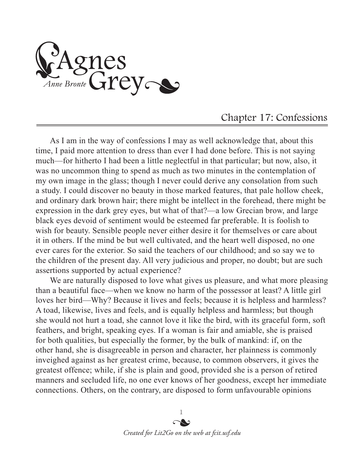Agnes<br>Anne Bronte Grey

## Chapter 17: Confessions

As I am in the way of confessions I may as well acknowledge that, about this time, I paid more attention to dress than ever I had done before. This is not saying much—for hitherto I had been a little neglectful in that particular; but now, also, it was no uncommon thing to spend as much as two minutes in the contemplation of my own image in the glass; though I never could derive any consolation from such a study. I could discover no beauty in those marked features, that pale hollow cheek, and ordinary dark brown hair; there might be intellect in the forehead, there might be expression in the dark grey eyes, but what of that?—a low Grecian brow, and large black eyes devoid of sentiment would be esteemed far preferable. It is foolish to wish for beauty. Sensible people never either desire it for themselves or care about it in others. If the mind be but well cultivated, and the heart well disposed, no one ever cares for the exterior. So said the teachers of our childhood; and so say we to the children of the present day. All very judicious and proper, no doubt; but are such assertions supported by actual experience?

We are naturally disposed to love what gives us pleasure, and what more pleasing than a beautiful face—when we know no harm of the possessor at least? A little girl loves her bird—Why? Because it lives and feels; because it is helpless and harmless? A toad, likewise, lives and feels, and is equally helpless and harmless; but though she would not hurt a toad, she cannot love it like the bird, with its graceful form, soft feathers, and bright, speaking eyes. If a woman is fair and amiable, she is praised for both qualities, but especially the former, by the bulk of mankind: if, on the other hand, she is disagreeable in person and character, her plainness is commonly inveighed against as her greatest crime, because, to common observers, it gives the greatest offence; while, if she is plain and good, provided she is a person of retired manners and secluded life, no one ever knows of her goodness, except her immediate connections. Others, on the contrary, are disposed to form unfavourable opinions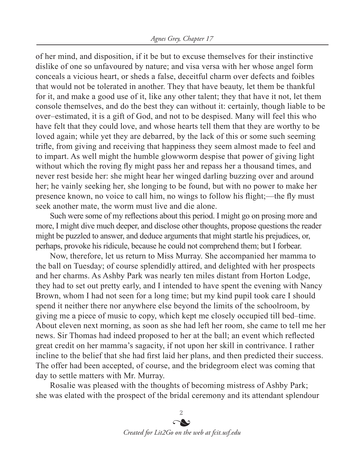of her mind, and disposition, if it be but to excuse themselves for their instinctive dislike of one so unfavoured by nature; and visa versa with her whose angel form conceals a vicious heart, or sheds a false, deceitful charm over defects and foibles that would not be tolerated in another. They that have beauty, let them be thankful for it, and make a good use of it, like any other talent; they that have it not, let them console themselves, and do the best they can without it: certainly, though liable to be over–estimated, it is a gift of God, and not to be despised. Many will feel this who have felt that they could love, and whose hearts tell them that they are worthy to be loved again; while yet they are debarred, by the lack of this or some such seeming trifle, from giving and receiving that happiness they seem almost made to feel and to impart. As well might the humble glowworm despise that power of giving light without which the roving fly might pass her and repass her a thousand times, and never rest beside her: she might hear her winged darling buzzing over and around her; he vainly seeking her, she longing to be found, but with no power to make her presence known, no voice to call him, no wings to follow his flight;—the fly must seek another mate, the worm must live and die alone.

Such were some of my reflections about this period. I might go on prosing more and more, I might dive much deeper, and disclose other thoughts, propose questions the reader might be puzzled to answer, and deduce arguments that might startle his prejudices, or, perhaps, provoke his ridicule, because he could not comprehend them; but I forbear.

Now, therefore, let us return to Miss Murray. She accompanied her mamma to the ball on Tuesday; of course splendidly attired, and delighted with her prospects and her charms. As Ashby Park was nearly ten miles distant from Horton Lodge, they had to set out pretty early, and I intended to have spent the evening with Nancy Brown, whom I had not seen for a long time; but my kind pupil took care I should spend it neither there nor anywhere else beyond the limits of the schoolroom, by giving me a piece of music to copy, which kept me closely occupied till bed–time. About eleven next morning, as soon as she had left her room, she came to tell me her news. Sir Thomas had indeed proposed to her at the ball; an event which reflected great credit on her mamma's sagacity, if not upon her skill in contrivance. I rather incline to the belief that she had first laid her plans, and then predicted their success. The offer had been accepted, of course, and the bridegroom elect was coming that day to settle matters with Mr. Murray.

Rosalie was pleased with the thoughts of becoming mistress of Ashby Park; she was elated with the prospect of the bridal ceremony and its attendant splendour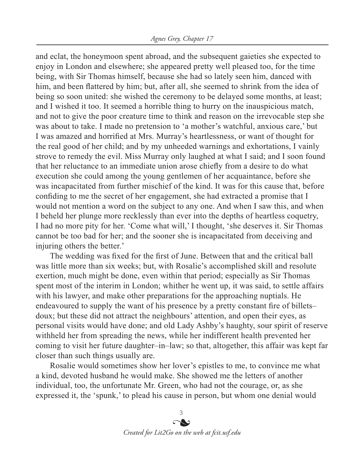and eclat, the honeymoon spent abroad, and the subsequent gaieties she expected to enjoy in London and elsewhere; she appeared pretty well pleased too, for the time being, with Sir Thomas himself, because she had so lately seen him, danced with him, and been flattered by him; but, after all, she seemed to shrink from the idea of being so soon united: she wished the ceremony to be delayed some months, at least; and I wished it too. It seemed a horrible thing to hurry on the inauspicious match, and not to give the poor creature time to think and reason on the irrevocable step she was about to take. I made no pretension to 'a mother's watchful, anxious care,' but I was amazed and horrified at Mrs. Murray's heartlessness, or want of thought for the real good of her child; and by my unheeded warnings and exhortations, I vainly strove to remedy the evil. Miss Murray only laughed at what I said; and I soon found that her reluctance to an immediate union arose chiefly from a desire to do what execution she could among the young gentlemen of her acquaintance, before she was incapacitated from further mischief of the kind. It was for this cause that, before confiding to me the secret of her engagement, she had extracted a promise that I would not mention a word on the subject to any one. And when I saw this, and when I beheld her plunge more recklessly than ever into the depths of heartless coquetry, I had no more pity for her. 'Come what will,' I thought, 'she deserves it. Sir Thomas cannot be too bad for her; and the sooner she is incapacitated from deceiving and injuring others the better.'

The wedding was fixed for the first of June. Between that and the critical ball was little more than six weeks; but, with Rosalie's accomplished skill and resolute exertion, much might be done, even within that period; especially as Sir Thomas spent most of the interim in London; whither he went up, it was said, to settle affairs with his lawyer, and make other preparations for the approaching nuptials. He endeavoured to supply the want of his presence by a pretty constant fire of billets– doux; but these did not attract the neighbours' attention, and open their eyes, as personal visits would have done; and old Lady Ashby's haughty, sour spirit of reserve withheld her from spreading the news, while her indifferent health prevented her coming to visit her future daughter–in–law; so that, altogether, this affair was kept far closer than such things usually are.

Rosalie would sometimes show her lover's epistles to me, to convince me what a kind, devoted husband he would make. She showed me the letters of another individual, too, the unfortunate Mr. Green, who had not the courage, or, as she expressed it, the 'spunk,' to plead his cause in person, but whom one denial would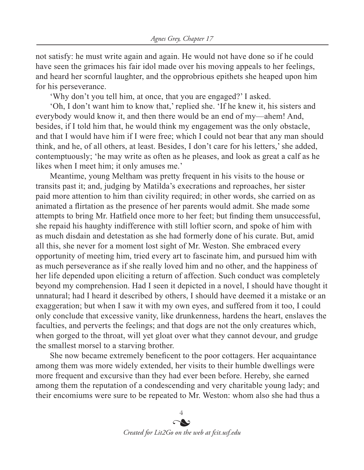not satisfy: he must write again and again. He would not have done so if he could have seen the grimaces his fair idol made over his moving appeals to her feelings, and heard her scornful laughter, and the opprobrious epithets she heaped upon him for his perseverance.

'Why don't you tell him, at once, that you are engaged?' I asked.

'Oh, I don't want him to know that,' replied she. 'If he knew it, his sisters and everybody would know it, and then there would be an end of my—ahem! And, besides, if I told him that, he would think my engagement was the only obstacle, and that I would have him if I were free; which I could not bear that any man should think, and he, of all others, at least. Besides, I don't care for his letters,' she added, contemptuously; 'he may write as often as he pleases, and look as great a calf as he likes when I meet him; it only amuses me.'

Meantime, young Meltham was pretty frequent in his visits to the house or transits past it; and, judging by Matilda's execrations and reproaches, her sister paid more attention to him than civility required; in other words, she carried on as animated a flirtation as the presence of her parents would admit. She made some attempts to bring Mr. Hatfield once more to her feet; but finding them unsuccessful, she repaid his haughty indifference with still loftier scorn, and spoke of him with as much disdain and detestation as she had formerly done of his curate. But, amid all this, she never for a moment lost sight of Mr. Weston. She embraced every opportunity of meeting him, tried every art to fascinate him, and pursued him with as much perseverance as if she really loved him and no other, and the happiness of her life depended upon eliciting a return of affection. Such conduct was completely beyond my comprehension. Had I seen it depicted in a novel, I should have thought it unnatural; had I heard it described by others, I should have deemed it a mistake or an exaggeration; but when I saw it with my own eyes, and suffered from it too, I could only conclude that excessive vanity, like drunkenness, hardens the heart, enslaves the faculties, and perverts the feelings; and that dogs are not the only creatures which, when gorged to the throat, will yet gloat over what they cannot devour, and grudge the smallest morsel to a starving brother.

She now became extremely beneficent to the poor cottagers. Her acquaintance among them was more widely extended, her visits to their humble dwellings were more frequent and excursive than they had ever been before. Hereby, she earned among them the reputation of a condescending and very charitable young lady; and their encomiums were sure to be repeated to Mr. Weston: whom also she had thus a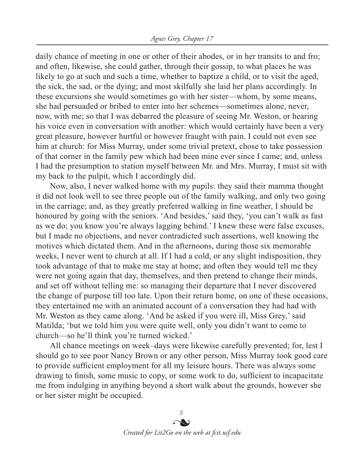daily chance of meeting in one or other of their abodes, or in her transits to and fro; and often, likewise, she could gather, through their gossip, to what places he was likely to go at such and such a time, whether to baptize a child, or to visit the aged, the sick, the sad, or the dying; and most skilfully she laid her plans accordingly. In these excursions she would sometimes go with her sister—whom, by some means, she had persuaded or bribed to enter into her schemes—sometimes alone, never, now, with me; so that I was debarred the pleasure of seeing Mr. Weston, or hearing his voice even in conversation with another: which would certainly have been a very great pleasure, however hurtful or however fraught with pain. I could not even see him at church: for Miss Murray, under some trivial pretext, chose to take possession of that corner in the family pew which had been mine ever since I came; and, unless I had the presumption to station myself between Mr. and Mrs. Murray, I must sit with my back to the pulpit, which I accordingly did.

Now, also, I never walked home with my pupils: they said their mamma thought it did not look well to see three people out of the family walking, and only two going in the carriage; and, as they greatly preferred walking in fine weather, I should be honoured by going with the seniors. 'And besides,' said they, 'you can't walk as fast as we do; you know you're always lagging behind.' I knew these were false excuses, but I made no objections, and never contradicted such assertions, well knowing the motives which dictated them. And in the afternoons, during those six memorable weeks, I never went to church at all. If I had a cold, or any slight indisposition, they took advantage of that to make me stay at home; and often they would tell me they were not going again that day, themselves, and then pretend to change their minds, and set off without telling me: so managing their departure that I never discovered the change of purpose till too late. Upon their return home, on one of these occasions, they entertained me with an animated account of a conversation they had had with Mr. Weston as they came along. 'And he asked if you were ill, Miss Grey,' said Matilda; 'but we told him you were quite well, only you didn't want to come to church—so he'll think you're turned wicked.'

All chance meetings on week–days were likewise carefully prevented; for, lest I should go to see poor Nancy Brown or any other person, Miss Murray took good care to provide sufficient employment for all my leisure hours. There was always some drawing to finish, some music to copy, or some work to do, sufficient to incapacitate me from indulging in anything beyond a short walk about the grounds, however she or her sister might be occupied.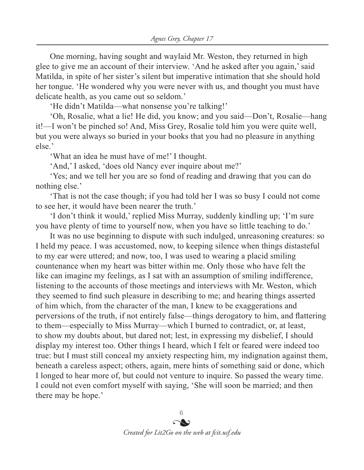One morning, having sought and waylaid Mr. Weston, they returned in high glee to give me an account of their interview. 'And he asked after you again,' said Matilda, in spite of her sister's silent but imperative intimation that she should hold her tongue. 'He wondered why you were never with us, and thought you must have delicate health, as you came out so seldom.'

'He didn't Matilda—what nonsense you're talking!'

'Oh, Rosalie, what a lie! He did, you know; and you said—Don't, Rosalie—hang it!—I won't be pinched so! And, Miss Grey, Rosalie told him you were quite well, but you were always so buried in your books that you had no pleasure in anything else.'

'What an idea he must have of me!' I thought.

'And,' I asked, 'does old Nancy ever inquire about me?'

'Yes; and we tell her you are so fond of reading and drawing that you can do nothing else.'

'That is not the case though; if you had told her I was so busy I could not come to see her, it would have been nearer the truth.'

'I don't think it would,' replied Miss Murray, suddenly kindling up; 'I'm sure you have plenty of time to yourself now, when you have so little teaching to do.'

It was no use beginning to dispute with such indulged, unreasoning creatures: so I held my peace. I was accustomed, now, to keeping silence when things distasteful to my ear were uttered; and now, too, I was used to wearing a placid smiling countenance when my heart was bitter within me. Only those who have felt the like can imagine my feelings, as I sat with an assumption of smiling indifference, listening to the accounts of those meetings and interviews with Mr. Weston, which they seemed to find such pleasure in describing to me; and hearing things asserted of him which, from the character of the man, I knew to be exaggerations and perversions of the truth, if not entirely false—things derogatory to him, and flattering to them—especially to Miss Murray—which I burned to contradict, or, at least, to show my doubts about, but dared not; lest, in expressing my disbelief, I should display my interest too. Other things I heard, which I felt or feared were indeed too true: but I must still conceal my anxiety respecting him, my indignation against them, beneath a careless aspect; others, again, mere hints of something said or done, which I longed to hear more of, but could not venture to inquire. So passed the weary time. I could not even comfort myself with saying, 'She will soon be married; and then there may be hope.'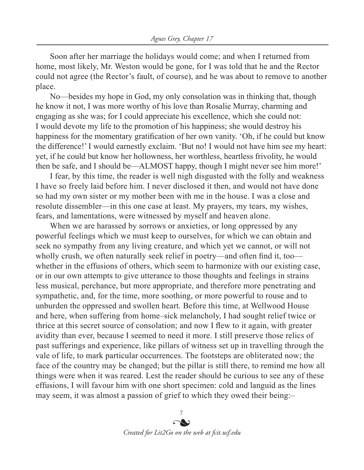Soon after her marriage the holidays would come; and when I returned from home, most likely, Mr. Weston would be gone, for I was told that he and the Rector could not agree (the Rector's fault, of course), and he was about to remove to another place.

No—besides my hope in God, my only consolation was in thinking that, though he know it not, I was more worthy of his love than Rosalie Murray, charming and engaging as she was; for I could appreciate his excellence, which she could not: I would devote my life to the promotion of his happiness; she would destroy his happiness for the momentary gratification of her own vanity. 'Oh, if he could but know the difference!' I would earnestly exclaim. 'But no! I would not have him see my heart: yet, if he could but know her hollowness, her worthless, heartless frivolity, he would then be safe, and I should be—ALMOST happy, though I might never see him more!'

I fear, by this time, the reader is well nigh disgusted with the folly and weakness I have so freely laid before him. I never disclosed it then, and would not have done so had my own sister or my mother been with me in the house. I was a close and resolute dissembler—in this one case at least. My prayers, my tears, my wishes, fears, and lamentations, were witnessed by myself and heaven alone.

When we are harassed by sorrows or anxieties, or long oppressed by any powerful feelings which we must keep to ourselves, for which we can obtain and seek no sympathy from any living creature, and which yet we cannot, or will not wholly crush, we often naturally seek relief in poetry—and often find it, too whether in the effusions of others, which seem to harmonize with our existing case, or in our own attempts to give utterance to those thoughts and feelings in strains less musical, perchance, but more appropriate, and therefore more penetrating and sympathetic, and, for the time, more soothing, or more powerful to rouse and to unburden the oppressed and swollen heart. Before this time, at Wellwood House and here, when suffering from home–sick melancholy, I had sought relief twice or thrice at this secret source of consolation; and now I flew to it again, with greater avidity than ever, because I seemed to need it more. I still preserve those relics of past sufferings and experience, like pillars of witness set up in travelling through the vale of life, to mark particular occurrences. The footsteps are obliterated now; the face of the country may be changed; but the pillar is still there, to remind me how all things were when it was reared. Lest the reader should be curious to see any of these effusions, I will favour him with one short specimen: cold and languid as the lines may seem, it was almost a passion of grief to which they owed their being:–